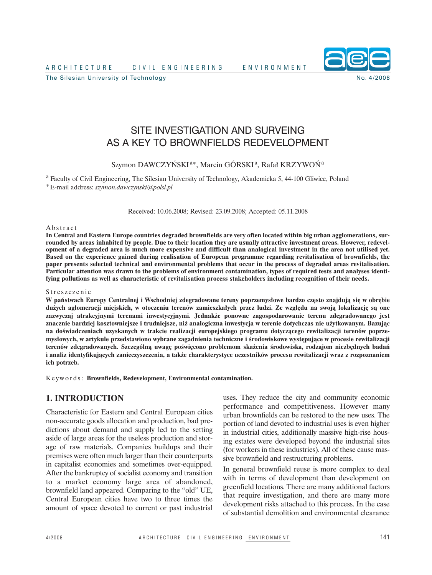A R C H I T E C I C I V I L E N G I N E E R I N G I R E N E N V I R O N M E N T

The Silesian University of Technology No. 4/2008



SITE INVESTIGATION AND SURVEING AS A KEY TO BROWNFIELDS REDEVELOPMENT

Szymon DAWCZYŃSKI<sup>a\*</sup>, Marcin GÓRSKI<sup>a</sup>, Rafał KRZYWOŃ<sup>a</sup>

<sup>a</sup> Faculty of Civil Engineering, The Silesian University of Technology, Akademicka 5, 44-100 Gliwice, Poland \*E-mail address: *szymon.dawczynski@polsl.pl*

Received: 10.06.2008; Revised: 23.09.2008; Accepted: 05.11.2008

#### **Abstract**

In Central and Eastern Europe countries degraded brownfields are very often located within big urban agglomerations, surrounded by areas inhabited by people. Due to their location they are usually attractive investment areas. However, redevelopment of a degraded area is much more expensive and difficult than analogical investment in the area not utilised yet. **Based on the experience gained during realisation of European programme regarding revitalisation of brownfields, the** paper presents selected technical and environmental problems that occur in the process of degraded areas revitalisation. Particular attention was drawn to the problems of environment contamination, types of required tests and analyses identi**fying pollutions as well as characteristic of revitalisation process stakeholders including recognition of their needs.**

#### Streszczenie

**W państwach Europy Centralnej i Wschodniej zdegradowane tereny poprzemysłowe bardzo często znajdują się w obrębie** dużych aglomeracji miejskich, w otoczeniu terenów zamieszkałych przez ludzi. Ze względu na swoją lokalizację są one **zazwyczaj atrakcyjnymi terenami inwestycyjnymi. Jednakże ponowne zagospodarowanie terenu zdegradowanego jest znacznie bardziej kosztowniejsze i trudniejsze, niż analogiczna inwestycja w terenie dotychczas nie użytkowanym. Bazując na doświadczeniach uzyskanych w trakcie realizacji europejskiego programu dotyczącego rewitalizacji terenów poprzemysłowych, w artykule przedstawiono wybrane zagadnienia techniczne i środowiskowe występujące w procesie rewitalizacji terenów zdegradowanych. Szczególną uwagę poświęcono problemom skażenia środowiska, rodzajom niezbędnych badań i analiz identyfikujących zanieczyszczenia, a także charakterystyce uczestników procesu rewitalizacji wraz z rozpoznaniem ich potrzeb.**

K e ywo r d s: **Brownfields, Redevelopment, Environmental contamination.**

### **1. INTRODUCTION**

Characteristic for Eastern and Central European cities non-accurate goods allocation and production, bad predictions about demand and supply led to the setting aside of large areas for the useless production and storage of raw materials. Companies buildups and their premises were often much larger than their counterparts in capitalist economies and sometimes over-equipped. After the bankruptcy of socialist economy and transition to a market economy large area of abandoned, brownfield land appeared. Comparing to the "old" UE, Central European cities have two to three times the amount of space devoted to current or past industrial uses. They reduce the city and community economic performance and competitiveness. However many urban brownfields can be restored to the new uses. The portion of land devoted to industrial uses is even higher in industrial cities, additionally massive high-rise housing estates were developed beyond the industrial sites (for workers in these industries). All of these cause massive brownfield and restructuring problems.

In general brownfield reuse is more complex to deal with in terms of development than development on greenfield locations. There are many additional factors that require investigation, and there are many more development risks attached to this process. In the case of substantial demolition and environmental clearance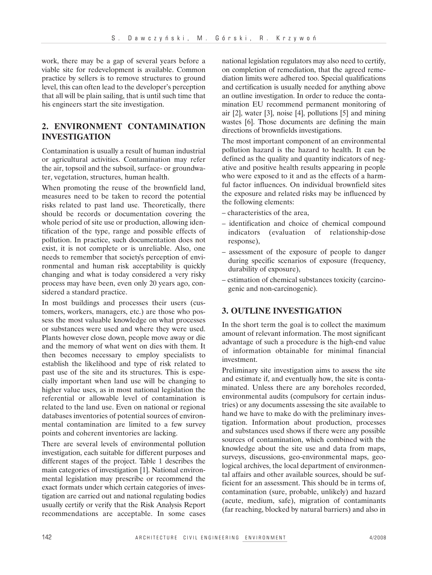work, there may be a gap of several years before a viable site for redevelopment is available. Common practice by sellers is to remove structures to ground level, this can often lead to the developer's perception that all will be plain sailing, that is until such time that his engineers start the site investigation.

# **2. ENVIRONMENT CONTAMINATION INVESTIGATION**

Contamination is usually a result of human industrial or agricultural activities. Contamination may refer the air, topsoil and the subsoil, surface- or groundwater, vegetation, structures, human health.

When promoting the reuse of the brownfield land, measures need to be taken to record the potential risks related to past land use. Theoretically, there should be records or documentation covering the whole period of site use or production, allowing identification of the type, range and possible effects of pollution. In practice, such documentation does not exist, it is not complete or is unreliable. Also, one needs to remember that society's perception of environmental and human risk acceptability is quickly changing and what is today considered a very risky process may have been, even only 20 years ago, considered a standard practice.

In most buildings and processes their users (customers, workers, managers, etc.) are those who possess the most valuable knowledge on what processes or substances were used and where they were used. Plants however close down, people move away or die and the memory of what went on dies with them. It then becomes necessary to employ specialists to establish the likelihood and type of risk related to past use of the site and its structures. This is especially important when land use will be changing to higher value uses, as in most national legislation the referential or allowable level of contamination is related to the land use. Even on national or regional databases inventories of potential sources of environmental contamination are limited to a few survey points and coherent inventories are lacking.

There are several levels of environmental pollution investigation, each suitable for different purposes and different stages of the project. Table 1 describes the main categories of investigation [1]. National environmental legislation may prescribe or recommend the exact formats under which certain categories of investigation are carried out and national regulating bodies usually certify or verify that the Risk Analysis Report recommendations are acceptable. In some cases

national legislation regulators may also need to certify, on completion of remediation, that the agreed remediation limits were adhered too. Special qualifications and certification is usually needed for anything above an outline investigation. In order to reduce the contamination EU recommend permanent monitoring of air [2], water [3], noise [4], pollutions [5] and mining wastes [6]. Those documents are defining the main directions of brownfields investigations.

The most important component of an environmental pollution hazard is the hazard to health. It can be defined as the quality and quantity indicators of negative and positive health results appearing in people who were exposed to it and as the effects of a harmful factor influences. On individual brownfield sites the exposure and related risks may be influenced by the following elements:

- characteristics of the area,
- identification and choice of chemical compound indicators (evaluation of relationship-dose response),
- assessment of the exposure of people to danger during specific scenarios of exposure (frequency, durability of exposure),
- estimation of chemical substances toxicity (carcinogenic and non-carcinogenic).

# **3. OUTLINE INVESTIGATION**

In the short term the goal is to collect the maximum amount of relevant information. The most significant advantage of such a procedure is the high-end value of information obtainable for minimal financial investment.

Preliminary site investigation aims to assess the site and estimate if, and eventually how, the site is contaminated. Unless there are any boreholes recorded, environmental audits (compulsory for certain industries) or any documents assessing the site available to hand we have to make do with the preliminary investigation. Information about production, processes and substances used shows if there were any possible sources of contamination, which combined with the knowledge about the site use and data from maps, surveys, discussions, geo-environmental maps, geological archives, the local department of environmental affairs and other available sources, should be sufficient for an assessment. This should be in terms of, contamination (sure, probable, unlikely) and hazard (acute, medium, safe), migration of contaminants (far reaching, blocked by natural barriers) and also in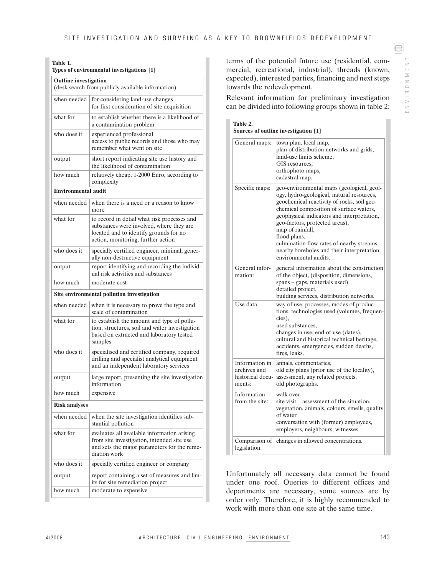# **Table 1.**

| Types of environmental investigations [1]<br><b>Outline</b> investigation<br>(desk search from publicly available information) |                                                                                                      |
|--------------------------------------------------------------------------------------------------------------------------------|------------------------------------------------------------------------------------------------------|
|                                                                                                                                |                                                                                                      |
| what for                                                                                                                       | to establish whether there is a likelihood of<br>a contamination problem                             |
| who does it                                                                                                                    | experienced professional<br>access to public records and those who may<br>remember what went on site |
| output                                                                                                                         | short report indicating site use history and<br>the likelihood of contamination                      |
| how much                                                                                                                       | relatively cheap, 1-2000 Euro, according to<br>complexity                                            |

|                                            | the likelihood of contamination                                                                                                                                         |  |
|--------------------------------------------|-------------------------------------------------------------------------------------------------------------------------------------------------------------------------|--|
| how much                                   | relatively cheap, 1-2000 Euro, according to<br>complexity                                                                                                               |  |
| <b>Environmental audit</b>                 |                                                                                                                                                                         |  |
| when needed                                | when there is a need or a reason to know<br>more                                                                                                                        |  |
| what for                                   | to record in detail what risk processes and<br>substances were involved, where they are<br>located and to identify grounds for no<br>action, monitoring, further action |  |
| who does it                                | specially certified engineer, minimal, gener-<br>ally non-destructive equipment                                                                                         |  |
| output                                     | report identifying and recording the individ-<br>ual risk activities and substances                                                                                     |  |
| how much                                   | moderate cost                                                                                                                                                           |  |
| Site environmental pollution investigation |                                                                                                                                                                         |  |
| when needed                                | when it is necessary to prove the type and<br>scale of contamination                                                                                                    |  |
| what for                                   | to establish the amount and type of pollu-<br>tion, structures, soil and water investigation<br>based on extracted and laboratory tested<br>samples                     |  |
| who does it                                | specialised and certified company, required<br>drilling and specialist analytical equipment<br>and an independent laboratory services                                   |  |
| output                                     | large report, presenting the site investigation<br>information                                                                                                          |  |
| how much                                   | expensive                                                                                                                                                               |  |
| <b>Risk analyses</b>                       |                                                                                                                                                                         |  |
| when needed                                | when the site investigation identifies sub-<br>stantial pollution                                                                                                       |  |
| what for                                   | evaluates all available information arising<br>from site investigation, intended site use<br>and sets the major parameters for the reme-<br>diation work                |  |
| who does it                                | specially certified engineer or company                                                                                                                                 |  |
| output                                     | report containing a set of measures and lim-<br>its for site remediation project                                                                                        |  |
| how much                                   | moderate to expensive                                                                                                                                                   |  |

terms of the potential future use (residential, commercial, recreational, industrial), threads (known, expected), interested parties, financing and next steps towards the redevelopment.

Relevant information for preliminary investigation can be divided into following groups shown in table 2:

**Table 2. Sources of outline investigation [1]**

| General maps:                                                | town plan, local map,<br>plan of distribution networks and grids,<br>land-use limits scheme,<br>GIS resources,<br>orthophoto maps,<br>cadastral map.                                                                                                                                                                                                                                                                    |  |
|--------------------------------------------------------------|-------------------------------------------------------------------------------------------------------------------------------------------------------------------------------------------------------------------------------------------------------------------------------------------------------------------------------------------------------------------------------------------------------------------------|--|
| Specific maps:                                               | geo-environmental maps (geological, geol-<br>ogy, hydro-geological, natural resources,<br>geochemical reactivity of rocks, soil geo-<br>chemical composition of surface waters,<br>geophysical indicators and interpretation,<br>geo-factors, protected areas),<br>map of rainfall,<br>flood plans,<br>culmination flow rates of nearby streams,<br>nearby boreholes and their interpretation,<br>environmental audits. |  |
| General infor-<br>mation:                                    | general information about the construction<br>of the object, (disposition, dimensions,<br>spans – gaps, materials used)<br>detailed project,<br>building services, distribution networks.                                                                                                                                                                                                                               |  |
| Use data:                                                    | way of use, processes, modes of produc-<br>tions, technologies used (volumes, frequen-<br>cies),<br>used substances,<br>changes in use, end of use (dates),<br>cultural and historical technical heritage,<br>accidents, emergencies, sudden deaths,<br>fires, leaks.                                                                                                                                                   |  |
| Information in<br>archives and<br>historical docu-<br>ments: | annals, commentaries,<br>old city plans (prior use of the locality),<br>assessment, any related projects,<br>old photographs.                                                                                                                                                                                                                                                                                           |  |
| Information<br>from the site:                                | walk over,<br>site visit – assessment of the situation,<br>vegetation, animals, colours, smells, quality<br>of water<br>conversation with (former) employees,<br>employers, neighbours, witnesses.                                                                                                                                                                                                                      |  |
| Comparison of<br>legislation:                                | changes in allowed concentrations.                                                                                                                                                                                                                                                                                                                                                                                      |  |

Unfortunately all necessary data cannot be found under one roof. Queries to different offices and departments are necessary, some sources are by order only. Therefore, it is highly recommended to work with more than one site at the same time.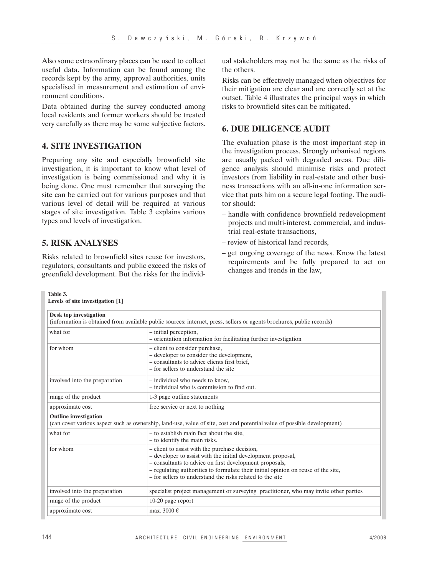Also some extraordinary places can be used to collect useful data. Information can be found among the records kept by the army, approval authorities, units specialised in measurement and estimation of environment conditions.

Data obtained during the survey conducted among local residents and former workers should be treated very carefully as there may be some subjective factors.

### **4. SITE INVESTIGATION**

Preparing any site and especially brownfield site investigation, it is important to know what level of investigation is being commissioned and why it is being done. One must remember that surveying the site can be carried out for various purposes and that various level of detail will be required at various stages of site investigation. Table  $\overline{3}$  explains various types and levels of investigation.

# **5. RISK ANALYSES**

Risks related to brownfield sites reuse for investors, regulators, consultants and public exceed the risks of greenfield development. But the risks for the individ-

ual stakeholders may not be the same as the risks of the others.

Risks can be effectively managed when objectives for their mitigation are clear and are correctly set at the outset. Table 4 illustrates the principal ways in which risks to brownfield sites can be mitigated.

# **6. DUE DILIGENCE AUDIT**

The evaluation phase is the most important step in the investigation process. Strongly urbanised regions are usually packed with degraded areas. Due diligence analysis should minimise risks and protect investors from liability in real-estate and other business transactions with an all-in-one information service that puts him on a secure legal footing. The auditor should:

- handle with confidence brownfield redevelopment projects and multi-interest, commercial, and industrial real-estate transactions,
- review of historical land records,
- get ongoing coverage of the news. Know the latest requirements and be fully prepared to act on changes and trends in the law,

#### **Table 3. Levels of site investigation [1]**

| <b>Desk top investigation</b><br>(information is obtained from available public sources: internet, press, sellers or agents brochures, public records) |                                                                                                                                                                                                                                                                                                                             |  |
|--------------------------------------------------------------------------------------------------------------------------------------------------------|-----------------------------------------------------------------------------------------------------------------------------------------------------------------------------------------------------------------------------------------------------------------------------------------------------------------------------|--|
| what for                                                                                                                                               | - initial perception,<br>- orientation information for facilitating further investigation                                                                                                                                                                                                                                   |  |
| for whom                                                                                                                                               | - client to consider purchase,<br>- developer to consider the development,<br>- consultants to advice clients first brief,<br>– for sellers to understand the site                                                                                                                                                          |  |
| involved into the preparation                                                                                                                          | - individual who needs to know,<br>- individual who is commission to find out.                                                                                                                                                                                                                                              |  |
| range of the product                                                                                                                                   | 1-3 page outline statements                                                                                                                                                                                                                                                                                                 |  |
| approximate cost                                                                                                                                       | free service or next to nothing                                                                                                                                                                                                                                                                                             |  |
| <b>Outline</b> investigation                                                                                                                           | (can cover various aspect such as ownership, land-use, value of site, cost and potential value of possible development)                                                                                                                                                                                                     |  |
| what for                                                                                                                                               | - to establish main fact about the site,<br>- to identify the main risks.                                                                                                                                                                                                                                                   |  |
| for whom                                                                                                                                               | - client to assist with the purchase decision,<br>- developer to assist with the initial development proposal,<br>- consultants to advice on first development proposals,<br>- regulating authorities to formulate their initial opinion on reuse of the site,<br>– for sellers to understand the risks related to the site |  |
| involved into the preparation                                                                                                                          | specialist project management or surveying practitioner, who may invite other parties                                                                                                                                                                                                                                       |  |
| range of the product                                                                                                                                   | 10-20 page report                                                                                                                                                                                                                                                                                                           |  |
| approximate cost                                                                                                                                       | max. 3000 $\in$                                                                                                                                                                                                                                                                                                             |  |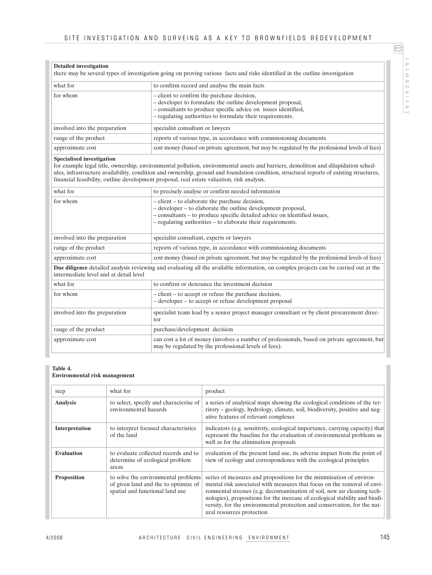| -      |
|--------|
| 2      |
| ш      |
|        |
| ë      |
| $\cup$ |
| œ      |
|        |
|        |
|        |
| ш      |

e

| <b>Detailed investigation</b> | there may be several types of investigation going on proving various facts and risks identified in the outline investigation                                                                                                            |  |
|-------------------------------|-----------------------------------------------------------------------------------------------------------------------------------------------------------------------------------------------------------------------------------------|--|
| what for                      | to confirm record and analyse the main facts                                                                                                                                                                                            |  |
| for whom                      | - client to confirm the purchase decision,<br>- developer to formulate the outline development proposal,<br>- consultants to produce specific advice on issues identified,<br>- regulating authorities to formulate their requirements. |  |
| involved into the preparation | specialist consultant or lawyers                                                                                                                                                                                                        |  |
| range of the product          | reports of various type, in accordance with commissioning documents                                                                                                                                                                     |  |
| approximate cost              | cost money (based on private agreement, but may be regulated by the professional levels of fees)                                                                                                                                        |  |

#### **Specialised investigation**

for example legal title, ownership, environmental pollution, environmental assets and barriers, demolition and dilapidation schedules, infrastructure availability, condition and ownership, ground and foundation condition, structural reports of existing structures, financial feasibility, outline development proposal, real estate valuation, risk analysis.

| what for                                                                                                                                                                        | to precisely analyse or confirm needed information                                                                                                                                                                                                         |  |
|---------------------------------------------------------------------------------------------------------------------------------------------------------------------------------|------------------------------------------------------------------------------------------------------------------------------------------------------------------------------------------------------------------------------------------------------------|--|
| for whom                                                                                                                                                                        | - client – to elaborate the purchase decision,<br>- developer – to elaborate the outline development proposal,<br>- consultants – to produce specific detailed advice on identified issues,<br>- regulating authorities – to elaborate their requirements. |  |
| involved into the preparation                                                                                                                                                   | specialist consultant, experts or lawyers                                                                                                                                                                                                                  |  |
| range of the product                                                                                                                                                            | reports of various type, in accordance with commissioning documents                                                                                                                                                                                        |  |
| approximate cost                                                                                                                                                                | cost money (based on private agreement, but may be regulated by the professional levels of fees)                                                                                                                                                           |  |
| Due diligence detailed analysis reviewing and evaluating all the available information, on complex projects can be carried out at the<br>intermediate level and at detail level |                                                                                                                                                                                                                                                            |  |
| what for                                                                                                                                                                        | to confirm or denounce the investment decision                                                                                                                                                                                                             |  |
| for whom                                                                                                                                                                        | - client – to accept or refuse the purchase decision,<br>- developer – to accept or refuse development proposal                                                                                                                                            |  |
| involved into the preparation                                                                                                                                                   | specialist team lead by a senior project manager consultant or by client procurement direc-<br>tor                                                                                                                                                         |  |
| range of the product                                                                                                                                                            | purchase/development decision                                                                                                                                                                                                                              |  |
| approximate cost                                                                                                                                                                | can cost a lot of money (involves a number of professionals, based on private agreement, but<br>may be regulated by the professional levels of fees).                                                                                                      |  |

#### **Table 4. Environmental risk management**

| step               | what for                                                                                                       | product                                                                                                                                                                                                                                                                                                                                                                                                             |
|--------------------|----------------------------------------------------------------------------------------------------------------|---------------------------------------------------------------------------------------------------------------------------------------------------------------------------------------------------------------------------------------------------------------------------------------------------------------------------------------------------------------------------------------------------------------------|
| <b>Analysis</b>    | to select, specify and characterise of<br>environmental hazards                                                | a series of analytical maps showing the ecological conditions of the ter-<br>ritory – geology, hydrology, climate, soil, biodiversity, positive and neg-<br>ative features of relevant complexes                                                                                                                                                                                                                    |
| Interpretation     | to interpret focused characteristics<br>of the land                                                            | indicators (e.g. sensitivity, ecological importance, carrying capacity) that<br>represent the baseline for the evaluation of environmental problems as<br>well as for the elimination proposals                                                                                                                                                                                                                     |
| <b>Evaluation</b>  | to evaluate collected records and to<br>determine of ecological problem<br>areas                               | evaluation of the present land use, its adverse impact from the point of<br>view of ecology and correspondence with the ecological principles                                                                                                                                                                                                                                                                       |
| <b>Proposition</b> | to solve the environmental problems<br>of given land and the to optimize of<br>spatial and functional land use | series of measures and propositions for the minimisation of environ-<br>mental risk associated with measures that focus on the removal of envi-<br>ronmental stresses (e.g. decontamination of soil, new air cleaning tech-<br>nologies), propositions for the increase of ecological stability and biodi-<br>versity, for the environmental protection and conservation, for the nat-<br>ural resources protection |